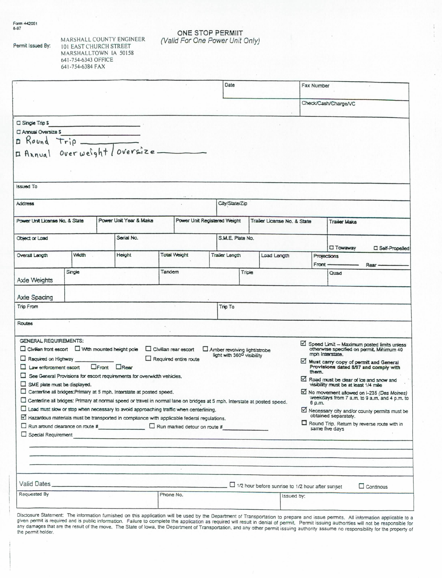Permit Issued By:

MARSHALL COUNTY ENGINEER

**101 EAST CHURCH STREET** MARSHALLTOWN IA 50158 641-754-6343 OFFICE 641-754-6384 FAX

ONE STOP PERMIIT<br>(Valid For One Power Unit Only)

|                                                                                                                                                                                                                                           |        |                     |                                                                                                                                                                                                                                      |           |                                                                                       | Date                                                        |                              |                                                                       |                                                                                                                                   | Fax Number                                                                                                             |                     |                                                                                |  |
|-------------------------------------------------------------------------------------------------------------------------------------------------------------------------------------------------------------------------------------------|--------|---------------------|--------------------------------------------------------------------------------------------------------------------------------------------------------------------------------------------------------------------------------------|-----------|---------------------------------------------------------------------------------------|-------------------------------------------------------------|------------------------------|-----------------------------------------------------------------------|-----------------------------------------------------------------------------------------------------------------------------------|------------------------------------------------------------------------------------------------------------------------|---------------------|--------------------------------------------------------------------------------|--|
|                                                                                                                                                                                                                                           |        |                     |                                                                                                                                                                                                                                      |           |                                                                                       |                                                             |                              |                                                                       | Check/Cash/Charge/VC                                                                                                              |                                                                                                                        |                     |                                                                                |  |
| $\square$ Single Trip \$                                                                                                                                                                                                                  |        |                     | <b>Contract of the Contract of the Contract of the Contract of the Contract of the Contract of the Contract of the Contract of the Contract of the Contract of the Contract of the Contract of the Contract of the Contract of t</b> |           |                                                                                       |                                                             |                              |                                                                       |                                                                                                                                   |                                                                                                                        |                     |                                                                                |  |
| Annual Oversize \$                                                                                                                                                                                                                        |        |                     |                                                                                                                                                                                                                                      |           |                                                                                       |                                                             |                              |                                                                       |                                                                                                                                   |                                                                                                                        |                     |                                                                                |  |
|                                                                                                                                                                                                                                           |        |                     |                                                                                                                                                                                                                                      |           |                                                                                       |                                                             |                              |                                                                       |                                                                                                                                   |                                                                                                                        |                     |                                                                                |  |
|                                                                                                                                                                                                                                           |        |                     |                                                                                                                                                                                                                                      |           |                                                                                       |                                                             |                              |                                                                       |                                                                                                                                   |                                                                                                                        |                     |                                                                                |  |
| ssued To                                                                                                                                                                                                                                  |        |                     |                                                                                                                                                                                                                                      |           |                                                                                       |                                                             |                              |                                                                       |                                                                                                                                   |                                                                                                                        |                     |                                                                                |  |
| Address                                                                                                                                                                                                                                   |        |                     |                                                                                                                                                                                                                                      |           |                                                                                       | City/State/Zip                                              |                              |                                                                       |                                                                                                                                   |                                                                                                                        |                     |                                                                                |  |
| Power Unit License No. & State                                                                                                                                                                                                            |        |                     | Power Unit Year & Make                                                                                                                                                                                                               |           |                                                                                       | Power Unit Registered Weight<br>Trailer License No. & State |                              |                                                                       |                                                                                                                                   | <b>Trailer Make</b>                                                                                                    |                     |                                                                                |  |
| Object or Load                                                                                                                                                                                                                            |        |                     | Serial No.                                                                                                                                                                                                                           |           |                                                                                       | S.M.E. Plate No.                                            |                              |                                                                       |                                                                                                                                   |                                                                                                                        |                     |                                                                                |  |
|                                                                                                                                                                                                                                           |        |                     |                                                                                                                                                                                                                                      |           |                                                                                       |                                                             |                              |                                                                       |                                                                                                                                   |                                                                                                                        | <b>Towaway</b>      | <b>CI</b> Salf-Propelled                                                       |  |
| Overall Langth                                                                                                                                                                                                                            | Width  |                     | Height                                                                                                                                                                                                                               |           | <b>Total Waight</b>                                                                   | Trailer Length                                              |                              | Load Length                                                           |                                                                                                                                   | Front                                                                                                                  | Projections<br>Rear |                                                                                |  |
| Axie Weights                                                                                                                                                                                                                              | Single |                     | Tandem                                                                                                                                                                                                                               |           |                                                                                       | Triple                                                      |                              |                                                                       |                                                                                                                                   |                                                                                                                        | Quad                |                                                                                |  |
| Axle Spacing                                                                                                                                                                                                                              |        |                     |                                                                                                                                                                                                                                      |           |                                                                                       |                                                             |                              |                                                                       |                                                                                                                                   |                                                                                                                        |                     |                                                                                |  |
| Trip From                                                                                                                                                                                                                                 |        |                     |                                                                                                                                                                                                                                      |           |                                                                                       | Trip To                                                     |                              |                                                                       |                                                                                                                                   |                                                                                                                        |                     |                                                                                |  |
| Routes                                                                                                                                                                                                                                    |        |                     |                                                                                                                                                                                                                                      |           |                                                                                       |                                                             |                              |                                                                       |                                                                                                                                   |                                                                                                                        |                     |                                                                                |  |
| <b>GENERAL REQUIREMENTS:</b>                                                                                                                                                                                                              |        |                     |                                                                                                                                                                                                                                      |           |                                                                                       |                                                             |                              |                                                                       |                                                                                                                                   |                                                                                                                        |                     |                                                                                |  |
| $\Box$ Clytilian front escort $\Box$ With mounted height pole<br>Civilian rear escort                                                                                                                                                     |        |                     |                                                                                                                                                                                                                                      |           |                                                                                       |                                                             | Amber revolving light/strobe |                                                                       |                                                                                                                                   | $\boxtimes$ Speed Limit - Maximum posted limits unless<br>otherwise specified on permit. Minimum 40<br>mph Interstate. |                     |                                                                                |  |
| Required on Highway<br>$\Box$ Law enforcement escort                                                                                                                                                                                      |        | <b>OFront DRear</b> |                                                                                                                                                                                                                                      |           | $\Box$ Required entire route                                                          | light with 360 <sup>0</sup> visibility                      |                              |                                                                       |                                                                                                                                   |                                                                                                                        |                     | Must carry copy of permit and General<br>Provisions dated 8/97 and comply with |  |
| $\Box$ See General Provisions for escort requirements for overwidth vehicles.                                                                                                                                                             |        |                     |                                                                                                                                                                                                                                      |           |                                                                                       |                                                             |                              |                                                                       | them.<br>Road must be dear of loe and snow and                                                                                    |                                                                                                                        |                     |                                                                                |  |
| $\Box$ SME plate must be displayed.<br>Centerline all bridges: Primary at 5 mph. Interstate at posted speed.<br>Centerline all bridges: Primary at normal speed or travel in normal lane on bridges at 5 mph. Interstate at posted speed. |        |                     |                                                                                                                                                                                                                                      |           |                                                                                       |                                                             |                              |                                                                       | visibility must be at least 1/4 mile<br>Mo movement allowed on I-235 (Des Moines)<br>weekdays from 7 a.m. to 9 a.m. and 4 p.m. to |                                                                                                                        |                     |                                                                                |  |
| $\Box$ Load must slow or stop when necessary to avoid approaching traffic when centerlining.                                                                                                                                              |        |                     |                                                                                                                                                                                                                                      |           |                                                                                       |                                                             |                              |                                                                       |                                                                                                                                   | 6 p.m.                                                                                                                 |                     |                                                                                |  |
| $\boxtimes$ Hazardous materials must be transported in compliance with applicable federal regulations.                                                                                                                                    |        |                     |                                                                                                                                                                                                                                      |           |                                                                                       |                                                             |                              |                                                                       | $\boxtimes$ Necessary city and/or county permits must be<br>obtained separately.<br>Round Trip. Return by reverse route with in   |                                                                                                                        |                     |                                                                                |  |
| $\Box$ Special Requirement                                                                                                                                                                                                                |        |                     |                                                                                                                                                                                                                                      |           |                                                                                       |                                                             |                              |                                                                       |                                                                                                                                   |                                                                                                                        | same five days      |                                                                                |  |
|                                                                                                                                                                                                                                           |        |                     |                                                                                                                                                                                                                                      |           | and the state of the state of the state of the state of the state of the state of the |                                                             |                              |                                                                       |                                                                                                                                   |                                                                                                                        |                     |                                                                                |  |
|                                                                                                                                                                                                                                           |        |                     |                                                                                                                                                                                                                                      |           |                                                                                       |                                                             |                              |                                                                       |                                                                                                                                   |                                                                                                                        |                     |                                                                                |  |
|                                                                                                                                                                                                                                           |        |                     |                                                                                                                                                                                                                                      |           |                                                                                       |                                                             |                              |                                                                       |                                                                                                                                   |                                                                                                                        |                     |                                                                                |  |
|                                                                                                                                                                                                                                           |        |                     |                                                                                                                                                                                                                                      |           |                                                                                       |                                                             |                              |                                                                       |                                                                                                                                   |                                                                                                                        |                     |                                                                                |  |
|                                                                                                                                                                                                                                           |        |                     |                                                                                                                                                                                                                                      |           |                                                                                       |                                                             |                              |                                                                       |                                                                                                                                   |                                                                                                                        |                     |                                                                                |  |
| Requested By                                                                                                                                                                                                                              |        |                     |                                                                                                                                                                                                                                      | Phone No. |                                                                                       |                                                             |                              | $\Box$ 1/2 hour before sunrise to 1/2 hour after sunset<br>Issued by: |                                                                                                                                   |                                                                                                                        |                     | $\Box$ Continous                                                               |  |

Disclosure Statement: The information furnished on this application will be used by the Department of Transportation to prepare and issue permits. All information applicable to a given permit is required and is public info the permit holder.